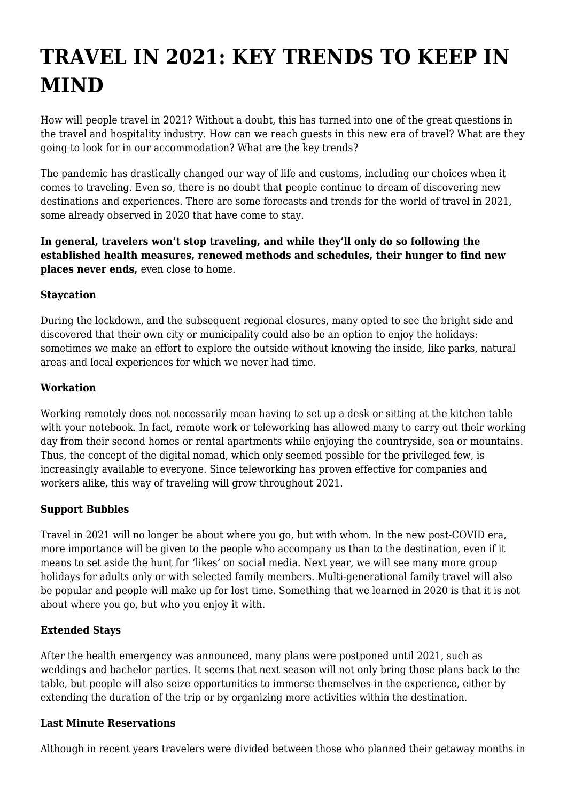# **TRAVEL IN 2021: KEY TRENDS TO KEEP IN MIND**

How will people travel in 2021? Without a doubt, this has turned into one of the great questions in the travel and hospitality industry. How can we reach guests in this new era of travel? What are they going to look for in our accommodation? What are the key trends?

The pandemic has drastically changed our way of life and customs, including our choices when it comes to traveling. Even so, there is no doubt that people continue to dream of discovering new destinations and experiences. There are some forecasts and trends for the world of travel in 2021, some already observed in 2020 that have come to stay.

**In general, travelers won't stop traveling, and while they'll only do so following the established health measures, renewed methods and schedules, their hunger to find new places never ends,** even close to home.

### **Staycation**

During the lockdown, and the subsequent regional closures, many opted to see the bright side and discovered that their own city or municipality could also be an option to enjoy the holidays: sometimes we make an effort to explore the outside without knowing the inside, like parks, natural areas and local experiences for which we never had time.

### **Workation**

Working remotely does not necessarily mean having to set up a desk or sitting at the kitchen table with your notebook. In fact, remote work or teleworking has allowed many to carry out their working day from their second homes or rental apartments while enjoying the countryside, sea or mountains. Thus, the concept of the digital nomad, which only seemed possible for the privileged few, is increasingly available to everyone. Since teleworking has proven effective for companies and workers alike, this way of traveling will grow throughout 2021.

#### **Support Bubbles**

Travel in 2021 will no longer be about where you go, but with whom. In the new post-COVID era, more importance will be given to the people who accompany us than to the destination, even if it means to set aside the hunt for 'likes' on social media. Next year, we will see many more group holidays for adults only or with selected family members. Multi-generational family travel will also be popular and people will make up for lost time. Something that we learned in 2020 is that it is not about where you go, but who you enjoy it with.

## **Extended Stays**

After the health emergency was announced, many plans were postponed until 2021, such as weddings and bachelor parties. It seems that next season will not only bring those plans back to the table, but people will also seize opportunities to immerse themselves in the experience, either by extending the duration of the trip or by organizing more activities within the destination.

#### **Last Minute Reservations**

Although in recent years travelers were divided between those who planned their getaway months in